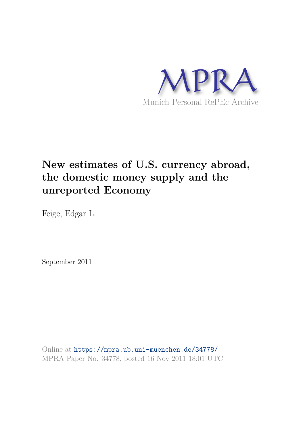

# **New estimates of U.S. currency abroad, the domestic money supply and the unreported Economy**

Feige, Edgar L.

September 2011

Online at https://mpra.ub.uni-muenchen.de/34778/ MPRA Paper No. 34778, posted 16 Nov 2011 18:01 UTC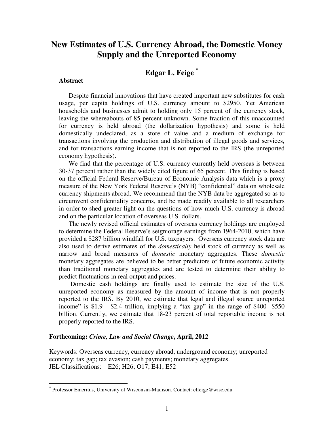# **New Estimates of U.S. Currency Abroad, the Domestic Money Supply and the Unreported Economy**

# **Edgar L. Feige \***

#### **Abstract**

 $\overline{a}$ 

Despite financial innovations that have created important new substitutes for cash usage, per capita holdings of U.S. currency amount to \$2950. Yet American households and businesses admit to holding only 15 percent of the currency stock, leaving the whereabouts of 85 percent unknown. Some fraction of this unaccounted for currency is held abroad (the dollarization hypothesis) and some is held domestically undeclared, as a store of value and a medium of exchange for transactions involving the production and distribution of illegal goods and services, and for transactions earning income that is not reported to the IRS (the unreported economy hypothesis).

 We find that the percentage of U.S. currency currently held overseas is between 30-37 percent rather than the widely cited figure of 65 percent. This finding is based on the official Federal Reserve/Bureau of Economic Analysis data which is a proxy measure of the New York Federal Reserve"s (NYB) "confidential" data on wholesale currency shipments abroad. We recommend that the NYB data be aggregated so as to circumvent confidentiality concerns, and be made readily available to all researchers in order to shed greater light on the questions of how much U.S. currency is abroad and on the particular location of overseas U.S. dollars.

The newly revised official estimates of overseas currency holdings are employed to determine the Federal Reserve's seigniorage earnings from 1964-2010, which have provided a \$287 billion windfall for U.S. taxpayers. Overseas currency stock data are also used to derive estimates of the *domestically* held stock of currency as well as narrow and broad measures of *domestic* monetary aggregates. These *domestic* monetary aggregates are believed to be better predictors of future economic activity than traditional monetary aggregates and are tested to determine their ability to predict fluctuations in real output and prices.

 Domestic cash holdings are finally used to estimate the size of the U.S. unreported economy as measured by the amount of income that is not properly reported to the IRS. By 2010, we estimate that legal and illegal source unreported income" is \$1.9 - \$2.4 trillion, implying a "tax gap" in the range of \$400- \$550 billion. Currently, we estimate that 18-23 percent of total reportable income is not properly reported to the IRS.

## **Forthcoming:** *Crime, Law and Social Change***, April, 2012**

Keywords: Overseas currency, currency abroad, underground economy; unreported economy; tax gap; tax evasion; cash payments; monetary aggregates. JEL Classifications: E26; H26; O17; E41; E52

<sup>\*</sup> Professor Emeritus, University of Wisconsin-Madison. Contact: elfeige@wisc.edu.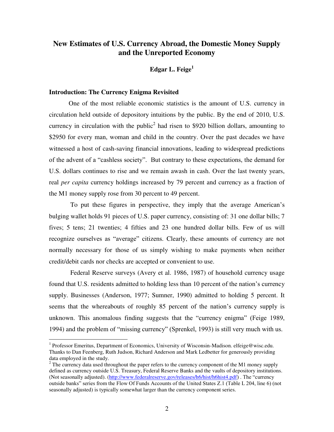## **New Estimates of U.S. Currency Abroad, the Domestic Money Supply and the Unreported Economy**

**Edgar L. Feige<sup>1</sup>**

#### **Introduction: The Currency Enigma Revisited**

 $\overline{a}$ 

 One of the most reliable economic statistics is the amount of U.S. currency in circulation held outside of depository intuitions by the public. By the end of 2010, U.S. currency in circulation with the public<sup>2</sup> had risen to \$920 billion dollars, amounting to \$2950 for every man, woman and child in the country. Over the past decades we have witnessed a host of cash-saving financial innovations, leading to widespread predictions of the advent of a "cashless society". But contrary to these expectations, the demand for U.S. dollars continues to rise and we remain awash in cash. Over the last twenty years, real *per capita* currency holdings increased by 79 percent and currency as a fraction of the M1 money supply rose from 30 percent to 49 percent.

 To put these figures in perspective, they imply that the average American"s bulging wallet holds 91 pieces of U.S. paper currency, consisting of: 31 one dollar bills; 7 fives; 5 tens; 21 twenties; 4 fifties and 23 one hundred dollar bills. Few of us will recognize ourselves as "average" citizens. Clearly, these amounts of currency are not normally necessary for those of us simply wishing to make payments when neither credit/debit cards nor checks are accepted or convenient to use.

 Federal Reserve surveys (Avery et al. 1986, 1987) of household currency usage found that U.S. residents admitted to holding less than 10 percent of the nation"s currency supply. Businesses (Anderson, 1977; Sumner, 1990) admitted to holding 5 percent. It seems that the whereabouts of roughly 85 percent of the nation"s currency supply is unknown. This anomalous finding suggests that the "currency enigma" (Feige 1989, 1994) and the problem of "missing currency" (Sprenkel, 1993) is still very much with us.

<sup>&</sup>lt;sup>1</sup> Professor Emeritus, Department of Economics, University of Wisconsin-Madison. elfeige@wisc.edu. Thanks to Dan Feenberg, Ruth Judson, Richard Anderson and Mark Ledbetter for generously providing data employed in the study.

 $2^2$  The currency data used throughout the paper refers to the currency component of the M1 money supply defined as currency outside U.S. Treasury, Federal Reserve Banks and the vaults of depository institutions. (Not seasonally adjusted). [\(http://www.federalreserve.gov/releases/h6/hist/h6hist4.pdf](http://www.federalreserve.gov/releases/h6/hist/h6hist4.pdf)) . The "currency outside banks" series from the Flow Of Funds Accounts of the United States Z.1 (Table L 204, line 6) (not seasonally adjusted) is typically somewhat larger than the currency component series.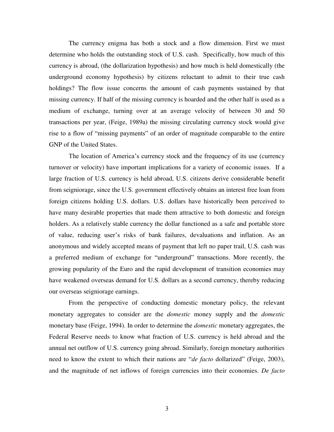The currency enigma has both a stock and a flow dimension. First we must determine who holds the outstanding stock of U.S. cash. Specifically, how much of this currency is abroad, (the dollarization hypothesis) and how much is held domestically (the underground economy hypothesis) by citizens reluctant to admit to their true cash holdings? The flow issue concerns the amount of cash payments sustained by that missing currency. If half of the missing currency is hoarded and the other half is used as a medium of exchange, turning over at an average velocity of between 30 and 50 transactions per year, (Feige, 1989a) the missing circulating currency stock would give rise to a flow of "missing payments" of an order of magnitude comparable to the entire GNP of the United States.

The location of America's currency stock and the frequency of its use (currency turnover or velocity) have important implications for a variety of economic issues. If a large fraction of U.S. currency is held abroad, U.S. citizens derive considerable benefit from seigniorage, since the U.S. government effectively obtains an interest free loan from foreign citizens holding U.S. dollars. U.S. dollars have historically been perceived to have many desirable properties that made them attractive to both domestic and foreign holders. As a relatively stable currency the dollar functioned as a safe and portable store of value, reducing user"s risks of bank failures, devaluations and inflation. As an anonymous and widely accepted means of payment that left no paper trail, U.S. cash was a preferred medium of exchange for "underground" transactions. More recently, the growing popularity of the Euro and the rapid development of transition economies may have weakened overseas demand for U.S. dollars as a second currency, thereby reducing our overseas seigniorage earnings.

From the perspective of conducting domestic monetary policy, the relevant monetary aggregates to consider are the *domestic* money supply and the *domestic* monetary base (Feige, 1994). In order to determine the *domestic* monetary aggregates, the Federal Reserve needs to know what fraction of U.S. currency is held abroad and the annual net outflow of U.S. currency going abroad. Similarly, foreign monetary authorities need to know the extent to which their nations are "*de facto* dollarized" (Feige, 2003), and the magnitude of net inflows of foreign currencies into their economies. *De facto*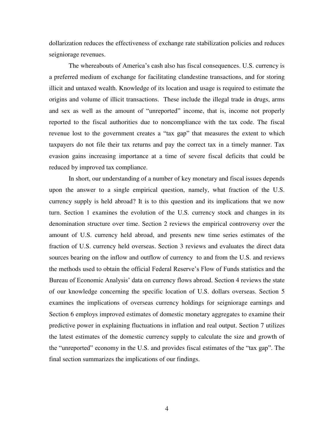dollarization reduces the effectiveness of exchange rate stabilization policies and reduces seigniorage revenues.

The whereabouts of America's cash also has fiscal consequences. U.S. currency is a preferred medium of exchange for facilitating clandestine transactions, and for storing illicit and untaxed wealth. Knowledge of its location and usage is required to estimate the origins and volume of illicit transactions. These include the illegal trade in drugs, arms and sex as well as the amount of "unreported" income, that is, income not properly reported to the fiscal authorities due to noncompliance with the tax code. The fiscal revenue lost to the government creates a "tax gap" that measures the extent to which taxpayers do not file their tax returns and pay the correct tax in a timely manner. Tax evasion gains increasing importance at a time of severe fiscal deficits that could be reduced by improved tax compliance.

 In short, our understanding of a number of key monetary and fiscal issues depends upon the answer to a single empirical question, namely, what fraction of the U.S. currency supply is held abroad? It is to this question and its implications that we now turn. Section 1 examines the evolution of the U.S. currency stock and changes in its denomination structure over time. Section 2 reviews the empirical controversy over the amount of U.S. currency held abroad, and presents new time series estimates of the fraction of U.S. currency held overseas. Section 3 reviews and evaluates the direct data sources bearing on the inflow and outflow of currency to and from the U.S. and reviews the methods used to obtain the official Federal Reserve"s Flow of Funds statistics and the Bureau of Economic Analysis' data on currency flows abroad. Section 4 reviews the state of our knowledge concerning the specific location of U.S. dollars overseas. Section 5 examines the implications of overseas currency holdings for seigniorage earnings and Section 6 employs improved estimates of domestic monetary aggregates to examine their predictive power in explaining fluctuations in inflation and real output. Section 7 utilizes the latest estimates of the domestic currency supply to calculate the size and growth of the "unreported" economy in the U.S. and provides fiscal estimates of the "tax gap". The final section summarizes the implications of our findings.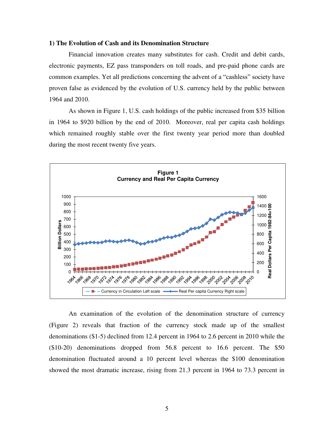#### **1) The Evolution of Cash and its Denomination Structure**

 Financial innovation creates many substitutes for cash. Credit and debit cards, electronic payments, EZ pass transponders on toll roads, and pre-paid phone cards are common examples. Yet all predictions concerning the advent of a "cashless" society have proven false as evidenced by the evolution of U.S. currency held by the public between 1964 and 2010.

 As shown in Figure 1, U.S. cash holdings of the public increased from \$35 billion in 1964 to \$920 billion by the end of 2010. Moreover, real per capita cash holdings which remained roughly stable over the first twenty year period more than doubled during the most recent twenty five years.



An examination of the evolution of the denomination structure of currency (Figure 2) reveals that fraction of the currency stock made up of the smallest denominations (\$1-5) declined from 12.4 percent in 1964 to 2.6 percent in 2010 while the (\$10-20) denominations dropped from 56.8 percent to 16.6 percent. The \$50 denomination fluctuated around a 10 percent level whereas the \$100 denomination showed the most dramatic increase, rising from 21.3 percent in 1964 to 73.3 percent in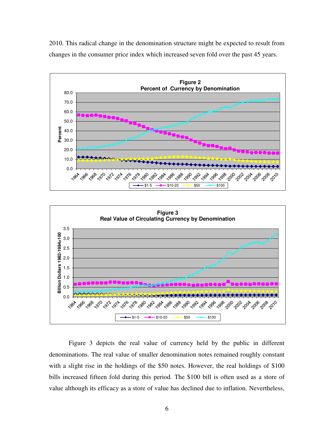2010. This radical change in the denomination structure might be expected to result from changes in the consumer price index which increased seven fold over the past 45 years.





Figure 3 depicts the real value of currency held by the public in different denominations. The real value of smaller denomination notes remained roughly constant with a slight rise in the holdings of the \$50 notes. However, the real holdings of \$100 bills increased fifteen fold during this period. The \$100 bill is often used as a store of value although its efficacy as a store of value has declined due to inflation. Nevertheless,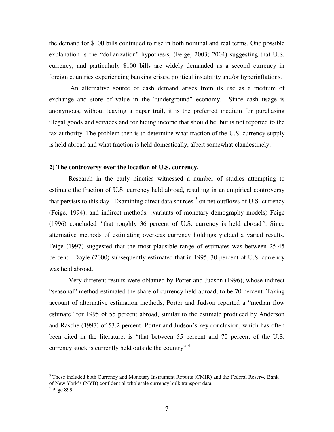the demand for \$100 bills continued to rise in both nominal and real terms. One possible explanation is the "dollarization" hypothesis, (Feige, 2003; 2004) suggesting that U.S. currency, and particularly \$100 bills are widely demanded as a second currency in foreign countries experiencing banking crises, political instability and/or hyperinflations.

 An alternative source of cash demand arises from its use as a medium of exchange and store of value in the "underground" economy. Since cash usage is anonymous, without leaving a paper trail, it is the preferred medium for purchasing illegal goods and services and for hiding income that should be, but is not reported to the tax authority. The problem then is to determine what fraction of the U.S. currency supply is held abroad and what fraction is held domestically, albeit somewhat clandestinely.

#### **2) The controversy over the location of U.S. currency.**

Research in the early nineties witnessed a number of studies attempting to estimate the fraction of U.S. currency held abroad, resulting in an empirical controversy that persists to this day. Examining direct data sources  $3$  on net outflows of U.S. currency (Feige, 1994), and indirect methods, (variants of monetary demography models) Feige (1996) concluded *"*that roughly 36 percent of U.S. currency is held abroad*"*. Since alternative methods of estimating overseas currency holdings yielded a varied results, Feige (1997) suggested that the most plausible range of estimates was between 25-45 percent. Doyle (2000) subsequently estimated that in 1995, 30 percent of U.S. currency was held abroad.

Very different results were obtained by Porter and Judson (1996), whose indirect "seasonal" method estimated the share of currency held abroad, to be 70 percent. Taking account of alternative estimation methods, Porter and Judson reported a "median flow estimate" for 1995 of 55 percent abroad, similar to the estimate produced by Anderson and Rasche (1997) of 53.2 percent. Porter and Judson"s key conclusion, which has often been cited in the literature, is "that between 55 percent and 70 percent of the U.S. currency stock is currently held outside the country".<sup>4</sup>

<sup>&</sup>lt;sup>3</sup> These included both Currency and Monetary Instrument Reports (CMIR) and the Federal Reserve Bank of New York"s (NYB) confidential wholesale currency bulk transport data.

<sup>4</sup> Page 899.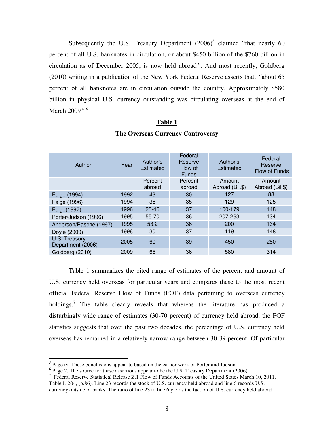Subsequently the U.S. Treasury Department  $(2006)^5$  claimed "that nearly 60 percent of all U.S. banknotes in circulation, or about \$450 billion of the \$760 billion in circulation as of December 2005, is now held abroad*"*. And most recently, Goldberg (2010) writing in a publication of the New York Federal Reserve asserts that, *"*about 65 percent of all banknotes are in circulation outside the country. Approximately \$580 billion in physical U.S. currency outstanding was circulating overseas at the end of March 2009*" <sup>6</sup>*

#### **Table 1**

| Author                             | Year | Author's<br>Estimated | Federal<br>Reserve<br>Flow of<br><b>Funds</b> | Author's<br>Estimated     | Federal<br>Reserve<br>Flow of Funds |
|------------------------------------|------|-----------------------|-----------------------------------------------|---------------------------|-------------------------------------|
|                                    |      | Percent<br>abroad     | Percent<br>abroad                             | Amount<br>Abroad (Bil.\$) | Amount<br>Abroad (Bil.\$)           |
| Feige (1994)                       | 1992 | 43                    | 30                                            | 127                       | 88                                  |
| Feige (1996)                       | 1994 | 36                    | 35                                            | 129                       | 125                                 |
| Feige(1997)                        | 1996 | $25 - 45$             | 37                                            | 100-179                   | 148                                 |
| Porter/Judson (1996)               | 1995 | 55-70                 | 36                                            | 207-263                   | 134                                 |
| Anderson/Rasche (1997)             | 1995 | 53.2                  | 36                                            | 200                       | 134                                 |
| Doyle (2000)                       | 1996 | 30                    | 37                                            | 119                       | 148                                 |
| U.S. Treasury<br>Department (2006) | 2005 | 60                    | 39                                            | 450                       | 280                                 |
| Goldberg (2010)                    | 2009 | 65                    | 36                                            | 580                       | 314                                 |

#### **The Overseas Currency Controversy**

Table 1 summarizes the cited range of estimates of the percent and amount of U.S. currency held overseas for particular years and compares these to the most recent official Federal Reserve Flow of Funds (FOF) data pertaining to overseas currency holdings.<sup>7</sup> The table clearly reveals that whereas the literature has produced a disturbingly wide range of estimates (30-70 percent) of currency held abroad, the FOF statistics suggests that over the past two decades, the percentage of U.S. currency held overseas has remained in a relatively narrow range between 30-39 percent. Of particular

<sup>&</sup>lt;sup>5</sup> Page iv. These conclusions appear to based on the earlier work of Porter and Judson.

<sup>&</sup>lt;sup>6</sup> Page 2. The source for these assertions appear to be the U.S. Treasury Department (2006)

<sup>&</sup>lt;sup>7</sup> Federal Reserve Statistical Release Z.1 Flow of Funds Accounts of the United States March 10, 2011.

Table L.204, (p.86). Line 23 records the stock of U.S. currency held abroad and line 6 records U.S. currency outside of banks. The ratio of line 23 to line 6 yields the faction of U.S. currency held abroad.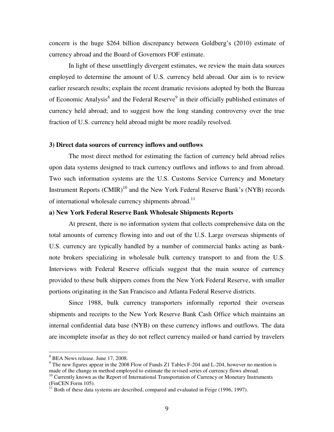concern is the huge \$264 billion discrepancy between Goldberg"s (2010) estimate of currency abroad and the Board of Governors FOF estimate.

In light of these unsettlingly divergent estimates, we review the main data sources employed to determine the amount of U.S. currency held abroad. Our aim is to review earlier research results; explain the recent dramatic revisions adopted by both the Bureau of Economic Analysis<sup>8</sup> and the Federal Reserve<sup>9</sup> in their officially published estimates of currency held abroad; and to suggest how the long standing controversy over the true fraction of U.S. currency held abroad might be more readily resolved.

#### **3) Direct data sources of currency inflows and outflows**

The most direct method for estimating the faction of currency held abroad relies upon data systems designed to track currency outflows and inflows to and from abroad. Two such information systems are the U.S. Customs Service Currency and Monetary Instrument Reports  $(CMIR)^{10}$  and the New York Federal Reserve Bank's (NYB) records of international wholesale currency shipments abroad.<sup>11</sup>

#### **a) New York Federal Reserve Bank Wholesale Shipments Reports**

 At present, there is no information system that collects comprehensive data on the total amounts of currency flowing into and out of the U.S. Large overseas shipments of U.S. currency are typically handled by a number of commercial banks acting as banknote brokers specializing in wholesale bulk currency transport to and from the U.S. Interviews with Federal Reserve officials suggest that the main source of currency provided to these bulk shippers comes from the New York Federal Reserve, with smaller portions originating in the San Francisco and Atlanta Federal Reserve districts.

 Since 1988, bulk currency transporters informally reported their overseas shipments and receipts to the New York Reserve Bank Cash Office which maintains an internal confidential data base (NYB) on these currency inflows and outflows. The data are incomplete insofar as they do not reflect currency mailed or hand carried by travelers

<sup>&</sup>lt;sup>8</sup> BEA News release. June 17, 2008.

 $9$  The new figures appear in the 2008 Flow of Funds Z1 Tables F-204 and L-204, however no mention is made of the change in method employed to estimate the revised series of currency flows abroad.

<sup>&</sup>lt;sup>10</sup> Currently known as the Report of International Transportation of Currency or Monetary Instruments (FinCEN Form 105).

 $11$  Both of these data systems are described, compared and evaluated in Feige (1996, 1997).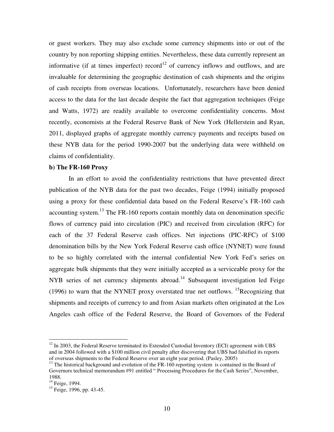or guest workers. They may also exclude some currency shipments into or out of the country by non reporting shipping entities. Nevertheless, these data currently represent an informative (if at times imperfect) record<sup>12</sup> of currency inflows and outflows, and are invaluable for determining the geographic destination of cash shipments and the origins of cash receipts from overseas locations. Unfortunately, researchers have been denied access to the data for the last decade despite the fact that aggregation techniques (Feige and Watts, 1972) are readily available to overcome confidentiality concerns. Most recently, economists at the Federal Reserve Bank of New York (Hellerstein and Ryan, 2011, displayed graphs of aggregate monthly currency payments and receipts based on these NYB data for the period 1990-2007 but the underlying data were withheld on claims of confidentiality.

#### **b) The FR-160 Proxy**

 In an effort to avoid the confidentiality restrictions that have prevented direct publication of the NYB data for the past two decades, Feige (1994) initially proposed using a proxy for these confidential data based on the Federal Reserve's FR-160 cash accounting system.<sup>13</sup> The FR-160 reports contain monthly data on denomination specific flows of currency paid into circulation (PIC) and received from circulation (RFC) for each of the 37 Federal Reserve cash offices. Net injections (PIC-RFC) of \$100 denomination bills by the New York Federal Reserve cash office (NYNET) were found to be so highly correlated with the internal confidential New York Fed"s series on aggregate bulk shipments that they were initially accepted as a serviceable proxy for the NYB series of net currency shipments abroad.<sup>14</sup> Subsequent investigation led Feige (1996) to warn that the NYNET proxy overstated true net outflows. <sup>15</sup>Recognizing that shipments and receipts of currency to and from Asian markets often originated at the Los Angeles cash office of the Federal Reserve, the Board of Governors of the Federal

 $12$  In 2003, the Federal Reserve terminated its Extended Custodial Inventory (ECI) agreement with UBS and in 2004 followed with a \$100 million civil penalty after discovering that UBS had falsified its reports of overseas shipments to the Federal Reserve over an eight year period. (Pasley, 2005)

<sup>&</sup>lt;sup>13</sup> The historical background and evolution of the FR-160 reporting system is contained in the Board of Governors technical memorandum #91 entitled " Processing Procedures for the Cash Series", November, 1988.

 $14$  Feige, 1994.

 $15$  Feige, 1996, pp. 43-45.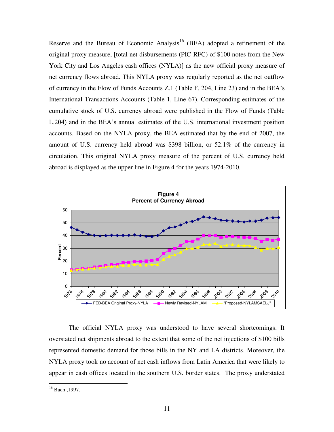Reserve and the Bureau of Economic Analysis<sup>16</sup> (BEA) adopted a refinement of the original proxy measure, [total net disbursements (PIC-RFC) of \$100 notes from the New York City and Los Angeles cash offices (NYLA)] as the new official proxy measure of net currency flows abroad. This NYLA proxy was regularly reported as the net outflow of currency in the Flow of Funds Accounts Z.1 (Table F. 204, Line 23) and in the BEA"s International Transactions Accounts (Table 1, Line 67). Corresponding estimates of the cumulative stock of U.S. currency abroad were published in the Flow of Funds (Table L.204) and in the BEA"s annual estimates of the U.S. international investment position accounts. Based on the NYLA proxy, the BEA estimated that by the end of 2007, the amount of U.S. currency held abroad was \$398 billion, or 52.1% of the currency in circulation. This original NYLA proxy measure of the percent of U.S. currency held abroad is displayed as the upper line in Figure 4 for the years 1974-2010.



 The official NYLA proxy was understood to have several shortcomings. It overstated net shipments abroad to the extent that some of the net injections of \$100 bills represented domestic demand for those bills in the NY and LA districts. Moreover, the NYLA proxy took no account of net cash inflows from Latin America that were likely to appear in cash offices located in the southern U.S. border states. The proxy understated

 $^{16}$  Bach, 1997.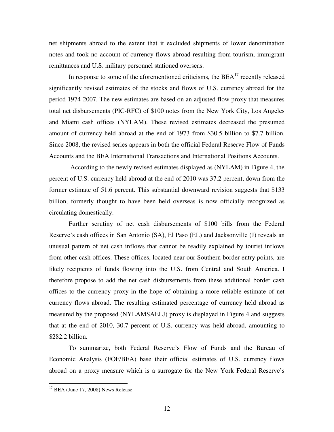net shipments abroad to the extent that it excluded shipments of lower denomination notes and took no account of currency flows abroad resulting from tourism, immigrant remittances and U.S. military personnel stationed overseas.

In response to some of the aforementioned criticisms, the  $BEA<sup>17</sup>$  recently released significantly revised estimates of the stocks and flows of U.S. currency abroad for the period 1974-2007. The new estimates are based on an adjusted flow proxy that measures total net disbursements (PIC-RFC) of \$100 notes from the New York City, Los Angeles and Miami cash offices (NYLAM). These revised estimates decreased the presumed amount of currency held abroad at the end of 1973 from \$30.5 billion to \$7.7 billion. Since 2008, the revised series appears in both the official Federal Reserve Flow of Funds Accounts and the BEA International Transactions and International Positions Accounts.

 According to the newly revised estimates displayed as (NYLAM) in Figure 4, the percent of U.S. currency held abroad at the end of 2010 was 37.2 percent, down from the former estimate of 51.6 percent. This substantial downward revision suggests that \$133 billion, formerly thought to have been held overseas is now officially recognized as circulating domestically.

 Further scrutiny of net cash disbursements of \$100 bills from the Federal Reserve's cash offices in San Antonio (SA), El Paso (EL) and Jacksonville (J) reveals an unusual pattern of net cash inflows that cannot be readily explained by tourist inflows from other cash offices. These offices, located near our Southern border entry points, are likely recipients of funds flowing into the U.S. from Central and South America. I therefore propose to add the net cash disbursements from these additional border cash offices to the currency proxy in the hope of obtaining a more reliable estimate of net currency flows abroad. The resulting estimated percentage of currency held abroad as measured by the proposed (NYLAMSAELJ) proxy is displayed in Figure 4 and suggests that at the end of 2010, 30.7 percent of U.S. currency was held abroad, amounting to \$282.2 billion.

 To summarize, both Federal Reserve"s Flow of Funds and the Bureau of Economic Analysis (FOF/BEA) base their official estimates of U.S. currency flows abroad on a proxy measure which is a surrogate for the New York Federal Reserve's

 $17$  BEA (June 17, 2008) News Release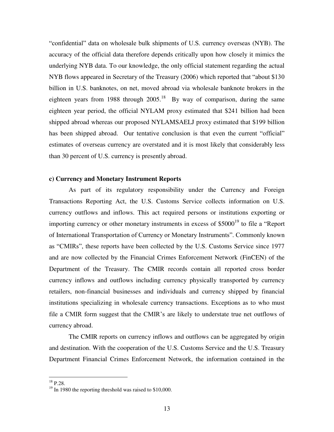"confidential" data on wholesale bulk shipments of U.S. currency overseas (NYB). The accuracy of the official data therefore depends critically upon how closely it mimics the underlying NYB data. To our knowledge, the only official statement regarding the actual NYB flows appeared in Secretary of the Treasury (2006) which reported that "about \$130 billion in U.S. banknotes, on net, moved abroad via wholesale banknote brokers in the eighteen years from 1988 through  $2005$ .<sup>18</sup> By way of comparison, during the same eighteen year period, the official NYLAM proxy estimated that \$241 billion had been shipped abroad whereas our proposed NYLAMSAELJ proxy estimated that \$199 billion has been shipped abroad. Our tentative conclusion is that even the current "official" estimates of overseas currency are overstated and it is most likely that considerably less than 30 percent of U.S. currency is presently abroad.

## **c) Currency and Monetary Instrument Reports**

As part of its regulatory responsibility under the Currency and Foreign Transactions Reporting Act, the U.S. Customs Service collects information on U.S. currency outflows and inflows. This act required persons or institutions exporting or importing currency or other monetary instruments in excess of  $$5000<sup>19</sup>$  to file a "Report" of International Transportation of Currency or Monetary Instruments". Commonly known as "CMIRs", these reports have been collected by the U.S. Customs Service since 1977 and are now collected by the Financial Crimes Enforcement Network (FinCEN) of the Department of the Treasury. The CMIR records contain all reported cross border currency inflows and outflows including currency physically transported by currency retailers, non-financial businesses and individuals and currency shipped by financial institutions specializing in wholesale currency transactions. Exceptions as to who must file a CMIR form suggest that the CMIR"s are likely to understate true net outflows of currency abroad.

 The CMIR reports on currency inflows and outflows can be aggregated by origin and destination. With the cooperation of the U.S. Customs Service and the U.S. Treasury Department Financial Crimes Enforcement Network, the information contained in the

 $^{18}$  P.28.

<sup>&</sup>lt;sup>19</sup> In 1980 the reporting threshold was raised to \$10,000.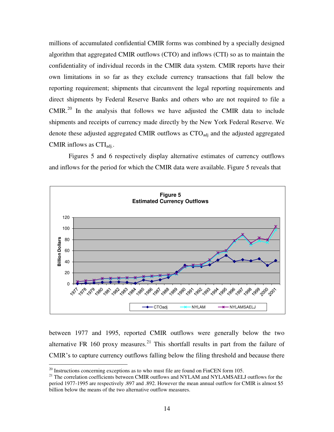millions of accumulated confidential CMIR forms was combined by a specially designed algorithm that aggregated CMIR outflows (CTO) and inflows (CTI) so as to maintain the confidentiality of individual records in the CMIR data system. CMIR reports have their own limitations in so far as they exclude currency transactions that fall below the reporting requirement; shipments that circumvent the legal reporting requirements and direct shipments by Federal Reserve Banks and others who are not required to file a  $CMIR<sup>20</sup>$  In the analysis that follows we have adjusted the CMIR data to include shipments and receipts of currency made directly by the New York Federal Reserve. We denote these adjusted aggregated CMIR outflows as CTO<sub>adj</sub> and the adjusted aggregated CMIR inflows as  $\text{CTI}_{\text{adi}}$ .

 Figures 5 and 6 respectively display alternative estimates of currency outflows and inflows for the period for which the CMIR data were available. Figure 5 reveals that



between 1977 and 1995, reported CMIR outflows were generally below the two alternative FR 160 proxy measures.<sup>21</sup> This shortfall results in part from the failure of CMIR"s to capture currency outflows falling below the filing threshold and because there

 $20$  Instructions concerning exceptions as to who must file are found on FinCEN form 105.

<sup>&</sup>lt;sup>21</sup> The correlation coefficients between CMIR outflows and NYLAM and NYLAMSAELJ outflows for the period 1977-1995 are respectively .897 and .892. However the mean annual outflow for CMIR is almost \$5 billion below the means of the two alternative outflow measures.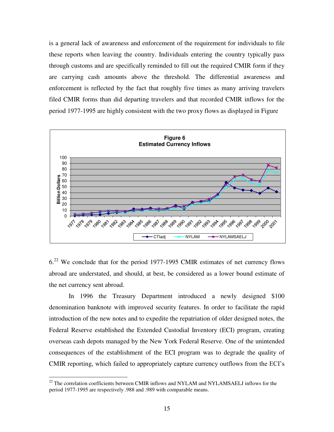is a general lack of awareness and enforcement of the requirement for individuals to file these reports when leaving the country. Individuals entering the country typically pass through customs and are specifically reminded to fill out the required CMIR form if they are carrying cash amounts above the threshold. The differential awareness and enforcement is reflected by the fact that roughly five times as many arriving travelers filed CMIR forms than did departing travelers and that recorded CMIR inflows for the period 1977-1995 are highly consistent with the two proxy flows as displayed in Figure



6.<sup>22</sup> We conclude that for the period 1977-1995 CMIR estimates of net currency flows abroad are understated, and should, at best, be considered as a lower bound estimate of the net currency sent abroad.

 In 1996 the Treasury Department introduced a newly designed \$100 denomination banknote with improved security features. In order to facilitate the rapid introduction of the new notes and to expedite the repatriation of older designed notes, the Federal Reserve established the Extended Custodial Inventory (ECI) program, creating overseas cash depots managed by the New York Federal Reserve. One of the unintended consequences of the establishment of the ECI program was to degrade the quality of CMIR reporting, which failed to appropriately capture currency outflows from the ECI"s

 $22$  The correlation coefficients between CMIR inflows and NYLAM and NYLAMSAELJ inflows for the period 1977-1995 are respectively .988 and .989 with comparable means.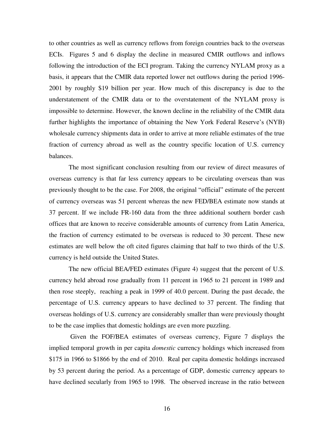to other countries as well as currency reflows from foreign countries back to the overseas ECIs. Figures 5 and 6 display the decline in measured CMIR outflows and inflows following the introduction of the ECI program. Taking the currency NYLAM proxy as a basis, it appears that the CMIR data reported lower net outflows during the period 1996- 2001 by roughly \$19 billion per year. How much of this discrepancy is due to the understatement of the CMIR data or to the overstatement of the NYLAM proxy is impossible to determine. However, the known decline in the reliability of the CMIR data further highlights the importance of obtaining the New York Federal Reserve"s (NYB) wholesale currency shipments data in order to arrive at more reliable estimates of the true fraction of currency abroad as well as the country specific location of U.S. currency balances.

 The most significant conclusion resulting from our review of direct measures of overseas currency is that far less currency appears to be circulating overseas than was previously thought to be the case. For 2008, the original "official" estimate of the percent of currency overseas was 51 percent whereas the new FED/BEA estimate now stands at 37 percent. If we include FR-160 data from the three additional southern border cash offices that are known to receive considerable amounts of currency from Latin America, the fraction of currency estimated to be overseas is reduced to 30 percent. These new estimates are well below the oft cited figures claiming that half to two thirds of the U.S. currency is held outside the United States.

 The new official BEA/FED estimates (Figure 4) suggest that the percent of U.S. currency held abroad rose gradually from 11 percent in 1965 to 21 percent in 1989 and then rose steeply, reaching a peak in 1999 of 40.0 percent. During the past decade, the percentage of U.S. currency appears to have declined to 37 percent. The finding that overseas holdings of U.S. currency are considerably smaller than were previously thought to be the case implies that domestic holdings are even more puzzling.

 Given the FOF/BEA estimates of overseas currency, Figure 7 displays the implied temporal growth in per capita *domestic* currency holdings which increased from \$175 in 1966 to \$1866 by the end of 2010. Real per capita domestic holdings increased by 53 percent during the period. As a percentage of GDP, domestic currency appears to have declined secularly from 1965 to 1998. The observed increase in the ratio between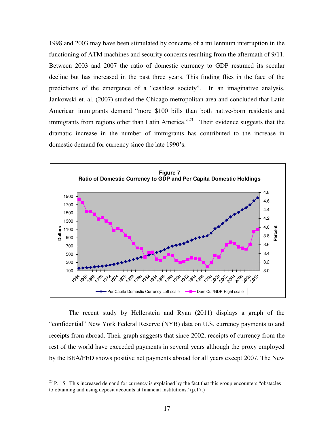1998 and 2003 may have been stimulated by concerns of a millennium interruption in the functioning of ATM machines and security concerns resulting from the aftermath of 9/11. Between 2003 and 2007 the ratio of domestic currency to GDP resumed its secular decline but has increased in the past three years. This finding flies in the face of the predictions of the emergence of a "cashless society". In an imaginative analysis, Jankowski et. al. (2007) studied the Chicago metropolitan area and concluded that Latin American immigrants demand "more \$100 bills than both native-born residents and immigrants from regions other than Latin America." $23$  Their evidence suggests that the dramatic increase in the number of immigrants has contributed to the increase in domestic demand for currency since the late 1990"s.



The recent study by Hellerstein and Ryan (2011) displays a graph of the "confidential" New York Federal Reserve (NYB) data on U.S. currency payments to and receipts from abroad. Their graph suggests that since 2002, receipts of currency from the rest of the world have exceeded payments in several years although the proxy employed by the BEA/FED shows positive net payments abroad for all years except 2007. The New

 $2<sup>23</sup>$  P. 15. This increased demand for currency is explained by the fact that this group encounters "obstacles" to obtaining and using deposit accounts at financial institutions."(p.17.)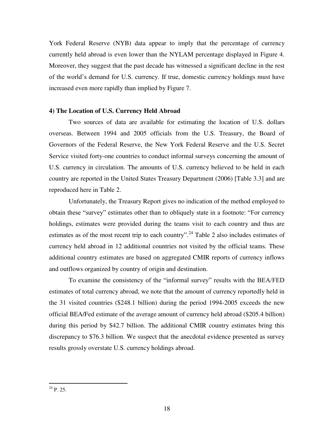York Federal Reserve (NYB) data appear to imply that the percentage of currency currently held abroad is even lower than the NYLAM percentage displayed in Figure 4. Moreover, they suggest that the past decade has witnessed a significant decline in the rest of the world"s demand for U.S. currency. If true, domestic currency holdings must have increased even more rapidly than implied by Figure 7.

#### **4) The Location of U.S. Currency Held Abroad**

 Two sources of data are available for estimating the location of U.S. dollars overseas. Between 1994 and 2005 officials from the U.S. Treasury, the Board of Governors of the Federal Reserve, the New York Federal Reserve and the U.S. Secret Service visited forty-one countries to conduct informal surveys concerning the amount of U.S. currency in circulation. The amounts of U.S. currency believed to be held in each country are reported in the United States Treasury Department (2006) [Table 3.3] and are reproduced here in Table 2.

Unfortunately, the Treasury Report gives no indication of the method employed to obtain these "survey" estimates other than to obliquely state in a footnote: "For currency holdings, estimates were provided during the teams visit to each country and thus are estimates as of the most recent trip to each country".<sup>24</sup> Table 2 also includes estimates of currency held abroad in 12 additional countries not visited by the official teams. These additional country estimates are based on aggregated CMIR reports of currency inflows and outflows organized by country of origin and destination.

 To examine the consistency of the "informal survey" results with the BEA/FED estimates of total currency abroad, we note that the amount of currency reportedly held in the 31 visited countries (\$248.1 billion) during the period 1994-2005 exceeds the new official BEA/Fed estimate of the average amount of currency held abroad (\$205.4 billion) during this period by \$42.7 billion. The additional CMIR country estimates bring this discrepancy to \$76.3 billion. We suspect that the anecdotal evidence presented as survey results grossly overstate U.S. currency holdings abroad.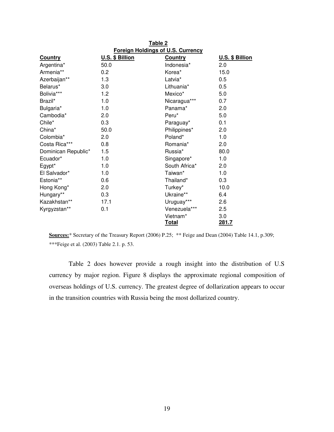|                     | Table 2                                  |                |                 |  |  |  |
|---------------------|------------------------------------------|----------------|-----------------|--|--|--|
|                     | <b>Foreign Holdings of U.S. Currency</b> |                |                 |  |  |  |
| <b>Country</b>      | U.S. \$ Billion                          | <b>Country</b> | U.S. \$ Billion |  |  |  |
| Argentina*          | 50.0                                     | Indonesia*     | 2.0             |  |  |  |
| Armenia**           | 0.2                                      | Korea*         | 15.0            |  |  |  |
| Azerbaijan**        | 1.3                                      | Latvia*        | 0.5             |  |  |  |
| Belarus*            | 3.0                                      | Lithuania*     | 0.5             |  |  |  |
| Bolivia***          | 1.2                                      | Mexico*        | 5.0             |  |  |  |
| Brazil*             | 1.0                                      | Nicaragua***   | 0.7             |  |  |  |
| Bulgaria*           | 1.0                                      | Panama*        | 2.0             |  |  |  |
| Cambodia*           | 2.0                                      | Peru*          | 5.0             |  |  |  |
| Chile*              | 0.3                                      | Paraguay*      | 0.1             |  |  |  |
| China*              | 50.0                                     | Philippines*   | 2.0             |  |  |  |
| Colombia*           | 2.0                                      | Poland*        | 1.0             |  |  |  |
| Costa Rica***       | 0.8                                      | Romania*       | 2.0             |  |  |  |
| Dominican Republic* | 1.5                                      | Russia*        | 80.0            |  |  |  |
| Ecuador*            | 1.0                                      | Singapore*     | 1.0             |  |  |  |
| Egypt*              | 1.0                                      | South Africa*  | 2.0             |  |  |  |
| El Salvador*        | 1.0                                      | Taiwan*        | 1.0             |  |  |  |
| Estonia**           | 0.6                                      | Thailand*      | 0.3             |  |  |  |
| Hong Kong*          | 2.0                                      | Turkey*        | 10.0            |  |  |  |
| Hungary**           | 0.3                                      | Ukraine**      | 6.4             |  |  |  |
| Kazakhstan**        | 17.1                                     | Uruguay***     | 2.6             |  |  |  |
| Kyrgyzstan**        | 0.1                                      | Venezuela***   | 2.5             |  |  |  |
|                     |                                          | Vietnam*       | 3.0             |  |  |  |
|                     |                                          | <u>Total</u>   | 281.7           |  |  |  |

**Sources:**\* Secretary of the Treasury Report (2006) P.25; \*\* Feige and Dean (2004) Table 14.1, p.309; \*\*\*Feige et al. (2003) Table 2.1. p. 53.

 Table 2 does however provide a rough insight into the distribution of U.S currency by major region. Figure 8 displays the approximate regional composition of overseas holdings of U.S. currency. The greatest degree of dollarization appears to occur in the transition countries with Russia being the most dollarized country.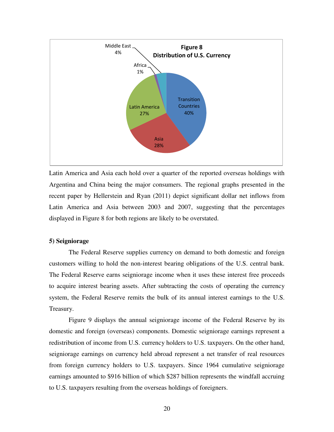

Latin America and Asia each hold over a quarter of the reported overseas holdings with Argentina and China being the major consumers. The regional graphs presented in the recent paper by Hellerstein and Ryan (2011) depict significant dollar net inflows from Latin America and Asia between 2003 and 2007, suggesting that the percentages displayed in Figure 8 for both regions are likely to be overstated.

#### **5) Seigniorage**

 The Federal Reserve supplies currency on demand to both domestic and foreign customers willing to hold the non-interest bearing obligations of the U.S. central bank. The Federal Reserve earns seigniorage income when it uses these interest free proceeds to acquire interest bearing assets. After subtracting the costs of operating the currency system, the Federal Reserve remits the bulk of its annual interest earnings to the U.S. Treasury.

Figure 9 displays the annual seigniorage income of the Federal Reserve by its domestic and foreign (overseas) components. Domestic seigniorage earnings represent a redistribution of income from U.S. currency holders to U.S. taxpayers. On the other hand, seigniorage earnings on currency held abroad represent a net transfer of real resources from foreign currency holders to U.S. taxpayers. Since 1964 cumulative seigniorage earnings amounted to \$916 billion of which \$287 billion represents the windfall accruing to U.S. taxpayers resulting from the overseas holdings of foreigners.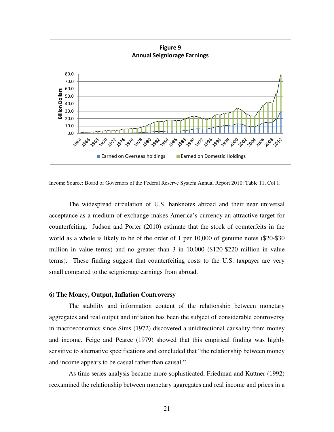

Income Source: Board of Governors of the Federal Reserve System Annual Report 2010: Table 11, Col 1.

The widespread circulation of U.S. banknotes abroad and their near universal acceptance as a medium of exchange makes America"s currency an attractive target for counterfeiting. Judson and Porter (2010) estimate that the stock of counterfeits in the world as a whole is likely to be of the order of 1 per 10,000 of genuine notes (\$20-\$30 million in value terms) and no greater than 3 in 10,000 (\$120-\$220 million in value terms). These finding suggest that counterfeiting costs to the U.S. taxpayer are very small compared to the seigniorage earnings from abroad.

## **6) The Money, Output, Inflation Controversy**

The stability and information content of the relationship between monetary aggregates and real output and inflation has been the subject of considerable controversy in macroeconomics since Sims (1972) discovered a unidirectional causality from money and income. Feige and Pearce (1979) showed that this empirical finding was highly sensitive to alternative specifications and concluded that "the relationship between money and income appears to be casual rather than causal."

 As time series analysis became more sophisticated, Friedman and Kuttner (1992) reexamined the relationship between monetary aggregates and real income and prices in a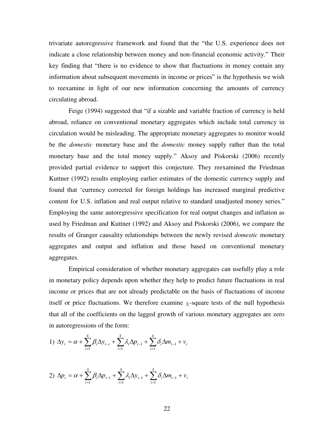trivariate autoregressive framework and found that the "the U.S. experience does not indicate a close relationship between money and non-financial economic activity." Their key finding that "there is no evidence to show that fluctuations in money contain any information about subsequent movements in income or prices" is the hypothesis we wish to reexamine in light of our new information concerning the amounts of currency circulating abroad.

 Feige (1994) suggested that "if a sizable and variable fraction of currency is held abroad, reliance on conventional monetary aggregates which include total currency in circulation would be misleading. The appropriate monetary aggregates to monitor would be the *domestic* monetary base and the *domestic* money supply rather than the total monetary base and the total money supply." Aksoy and Piskorski (2006) recently provided partial evidence to support this conjecture. They reexamined the Friedman Kuttner (1992) results employing earlier estimates of the domestic currency supply and found that "currency corrected for foreign holdings has increased marginal predictive content for U.S. inflation and real output relative to standard unadjusted money series." Employing the same autoregressive specification for real output changes and inflation as used by Friedman and Kuttner (1992) and Aksoy and Piskorski (2006), we compare the results of Granger causality relationships between the newly revised *domestic* monetary aggregates and output and inflation and those based on conventional monetary aggregates.

 Empirical consideration of whether monetary aggregates can usefully play a role in monetary policy depends upon whether they help to predict future fluctuations in real income or prices that are not already predictable on the basis of fluctuations of income itself or price fluctuations. We therefore examine  $\chi$ -square tests of the null hypothesis that all of the coefficients on the lagged growth of various monetary aggregates are zero in autoregressions of the form:

1) 
$$
\Delta y_t = \alpha + \sum_{i=1}^4 \beta_i \Delta y_{t-i} + \sum_{i=1}^4 \lambda_i \Delta p_{t-1} + \sum_{i=1}^4 \delta_i \Delta m_{t-1} + v_t
$$

2) 
$$
\Delta p_t = \alpha + \sum_{i=1}^4 \beta_i \Delta p_{t-1} + \sum_{i=1}^4 \lambda_i \Delta y_{t-1} + \sum_{i=1}^4 \delta_i \Delta m_{t-1} + v_t
$$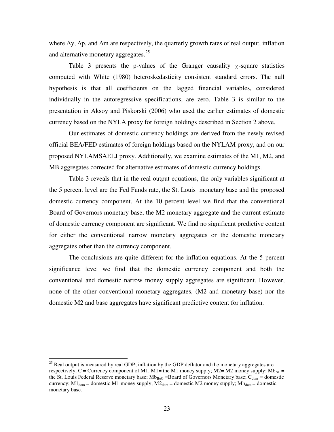where  $\Delta y$ ,  $\Delta p$ , and  $\Delta m$  are respectively, the quarterly growth rates of real output, inflation and alternative monetary aggregates. $^{25}$ 

Table 3 presents the p-values of the Granger causality  $\chi$ -square statistics computed with White (1980) heteroskedasticity consistent standard errors. The null hypothesis is that all coefficients on the lagged financial variables, considered individually in the autoregressive specifications, are zero. Table 3 is similar to the presentation in Aksoy and Piskorski (2006) who used the earlier estimates of domestic currency based on the NYLA proxy for foreign holdings described in Section 2 above.

Our estimates of domestic currency holdings are derived from the newly revised official BEA/FED estimates of foreign holdings based on the NYLAM proxy, and on our proposed NYLAMSAELJ proxy. Additionally, we examine estimates of the M1, M2, and MB aggregates corrected for alternative estimates of domestic currency holdings.

Table 3 reveals that in the real output equations, the only variables significant at the 5 percent level are the Fed Funds rate, the St. Louis monetary base and the proposed domestic currency component. At the 10 percent level we find that the conventional Board of Governors monetary base, the M2 monetary aggregate and the current estimate of domestic currency component are significant. We find no significant predictive content for either the conventional narrow monetary aggregates or the domestic monetary aggregates other than the currency component.

The conclusions are quite different for the inflation equations. At the 5 percent significance level we find that the domestic currency component and both the conventional and domestic narrow money supply aggregates are significant. However, none of the other conventional monetary aggregates, (M2 and monetary base) nor the domestic M2 and base aggregates have significant predictive content for inflation.

 $25$  Real output is measured by real GDP; inflation by the GDP deflator and the monetary aggregates are respectively, C = Currency component of M1, M1= the M1 money supply; M2= M2 money supply; Mb<sub>SL</sub> = the St. Louis Federal Reserve monetary base;  $Mb_{BoG} = Board$  of Governors Monetary base;  $C_{dom} = domestic$ currency;  $M1_{dom} =$  domestic M1 money supply;  $M2_{dom} =$  domestic M2 money supply;  $Mb_{dom} =$  domestic monetary base.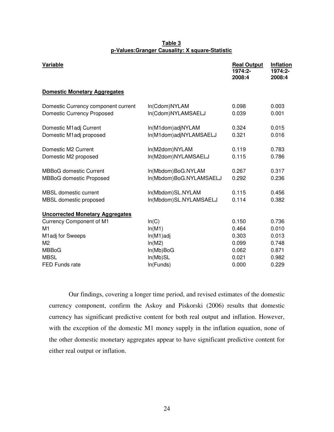#### **Table 3 p-Values:Granger Causality: Χ square-Statistic**

| Variable                                                                 |                                               | <b>Real Output</b><br>1974:2-<br>2008:4 | Inflation<br>1974:2-<br>2008:4 |
|--------------------------------------------------------------------------|-----------------------------------------------|-----------------------------------------|--------------------------------|
| <b>Domestic Monetary Aggregates</b>                                      |                                               |                                         |                                |
| Domestic Currency component current<br><b>Domestic Currency Proposed</b> | In(Cdom)NYLAM<br>In(Cdom)NYLAMSAELJ           | 0.098<br>0.039                          | 0.003<br>0.001                 |
| Domestic M1adj Current<br>Domestic M1adj proposed                        | In(M1dom)adjNYLAM<br>In(M1dom)adjNYLAMSAELJ   | 0.324<br>0.321                          | 0.015<br>0.016                 |
| Domestic M2 Current<br>Domestic M2 proposed                              | In(M2dom)NYLAM<br>In(M2dom)NYLAMSAELJ         | 0.119<br>0.115                          | 0.783<br>0.786                 |
| <b>MBBoG domestic Current</b><br><b>MBBoG domestic Proposed</b>          | In(Mbdom)BoG.NYLAM<br>In(Mbdom)BoG.NYLAMSAELJ | 0.267<br>0.292                          | 0.317<br>0.236                 |
| <b>MBSL domestic current</b><br>MBSL domestic proposed                   | In(Mbdom)SL.NYLAM<br>In(Mbdom)SL.NYLAMSAELJ   | 0.115<br>0.114                          | 0.456<br>0.382                 |
| <b>Uncorrected Monetary Aggregates</b>                                   |                                               |                                         |                                |
| <b>Currency Component of M1</b><br>M1                                    | ln(C)<br>ln(M1)                               | 0.150<br>0.464                          | 0.736<br>0.010                 |
| M1adj for Sweeps                                                         | $ln(M1)$ adj                                  | 0.303                                   | 0.013                          |
| M <sub>2</sub>                                                           | ln(M2)                                        | 0.099                                   | 0.748                          |
| <b>MBBoG</b>                                                             | $In(Mb)$ BoG                                  | 0.062                                   | 0.871                          |
| <b>MBSL</b>                                                              | In(Mb)SL                                      | 0.021                                   | 0.982                          |
| FED Funds rate                                                           | In(Funds)                                     | 0.000                                   | 0.229                          |

 Our findings, covering a longer time period, and revised estimates of the domestic currency component, confirm the Askoy and Piskorski (2006) results that domestic currency has significant predictive content for both real output and inflation. However, with the exception of the domestic M1 money supply in the inflation equation, none of the other domestic monetary aggregates appear to have significant predictive content for either real output or inflation.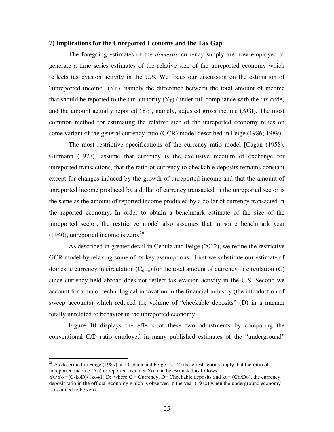#### 7**) Implications for the Unreported Economy and the Tax Gap**

 The foregoing estimates of the *domestic* currency supply are now employed to generate a time series estimates of the relative size of the unreported economy which reflects tax evasion activity in the U.S. We focus our discussion on the estimation of "unreported income" (Yu), namely the difference between the total amount of income that should be reported to the tax authority  $(Y_T)$  (under full compliance with the tax code) and the amount actually reported (Yo), namely, adjusted gross income (AGI). The most common method for estimating the relative size of the unreported economy relies on some variant of the general currency ratio (GCR) model described in Feige (1986; 1989).

 The most restrictive specifications of the currency ratio model [Cagan (1958), Gutmann (1977)] assume that currency is the exclusive medium of exchange for unreported transactions, that the ratio of currency to checkable deposits remains constant except for changes induced by the growth of unreported income and that the amount of unreported income produced by a dollar of currency transacted in the unreported sector is the same as the amount of reported income produced by a dollar of currency transacted in the reported economy. In order to obtain a benchmark estimate of the size of the unreported sector, the restrictive model also assumes that in some benchmark year  $(1940)$ , unreported income is zero.<sup>26</sup>

As described in greater detail in Cebula and Feige (2012), we refine the restrictive GCR model by relaxing some of its key assumptions. First we substitute our estimate of domestic currency in circulation  $(C_{dom})$  for the total amount of currency in circulation  $(C)$ since currency held abroad does not reflect tax evasion activity in the U.S. Second we account for a major technological innovation in the financial industry (the introduction of sweep accounts) which reduced the volume of "checkable deposits" (D) in a manner totally unrelated to behavior in the unreported economy.

Figure 10 displays the effects of these two adjustments by comparing the conventional C/D ratio employed in many published estimates of the "underground"

 $26$  As described in Feige (1989) and Cebula and Feige (2012) these restrictions imply that the ratio of unreported income (Yu) to reported income( Yo) can be estimated as follows:

 $Yu/Y_0 = (C-k_0D)/(k_0+1) D$ : where  $C =$  Currency, D= Checkable deposits and ko= (Co/Do), the currency deposit ratio in the official economy which is observed in the year (1940) when the underground economy is assumed to be zero.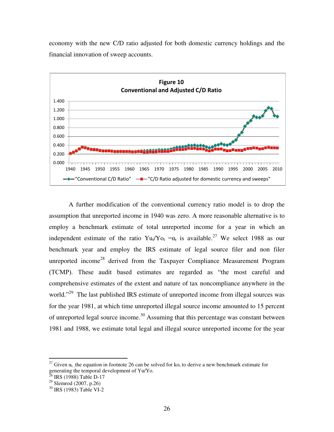economy with the new C/D ratio adjusted for both domestic currency holdings and the financial innovation of sweep accounts.



A further modification of the conventional currency ratio model is to drop the assumption that unreported income in 1940 was zero. A more reasonable alternative is to employ a benchmark estimate of total unreported income for a year in which an independent estimate of the ratio  $Yu_t/Yo_t = \alpha_t$  is available.<sup>27</sup> We select 1988 as our benchmark year and employ the IRS estimate of legal source filer and non filer unreported income<sup>28</sup> derived from the Taxpayer Compliance Measurement Program (TCMP). These audit based estimates are regarded as "the most careful and comprehensive estimates of the extent and nature of tax noncompliance anywhere in the world."<sup>29</sup> The last published IRS estimate of unreported income from illegal sources was for the year 1981, at which time unreported illegal source income amounted to 15 percent of unreported legal source income.<sup>30</sup> Assuming that this percentage was constant between 1981 and 1988, we estimate total legal and illegal source unreported income for the year

 $\overline{a}$ <sup>27</sup> Given  $\alpha_{t}$ , the equation in footnote 26 can be solved for ko<sub>t</sub> to derive a new benchmark estimate for generating the temporal development of Yu/Yo.

 $^{28}$  IRS (1988) Table D-17

 $^{29}$  Slemrod (2007, p.26)

<sup>30</sup> IRS (1983) Table VI-2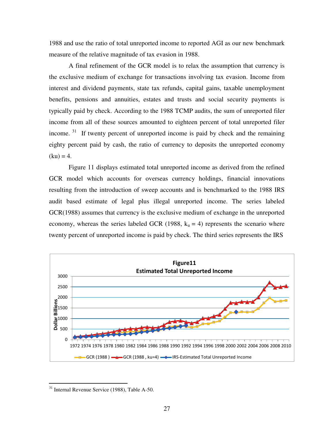1988 and use the ratio of total unreported income to reported AGI as our new benchmark measure of the relative magnitude of tax evasion in 1988.

 A final refinement of the GCR model is to relax the assumption that currency is the exclusive medium of exchange for transactions involving tax evasion. Income from interest and dividend payments, state tax refunds, capital gains, taxable unemployment benefits, pensions and annuities, estates and trusts and social security payments is typically paid by check. According to the 1988 TCMP audits, the sum of unreported filer income from all of these sources amounted to eighteen percent of total unreported filer income.  $31$  If twenty percent of unreported income is paid by check and the remaining eighty percent paid by cash, the ratio of currency to deposits the unreported economy  $(ku) = 4.$ 

 Figure 11 displays estimated total unreported income as derived from the refined GCR model which accounts for overseas currency holdings, financial innovations resulting from the introduction of sweep accounts and is benchmarked to the 1988 IRS audit based estimate of legal plus illegal unreported income. The series labeled GCR(1988) assumes that currency is the exclusive medium of exchange in the unreported economy, whereas the series labeled GCR (1988,  $k_u = 4$ ) represents the scenario where twenty percent of unreported income is paid by check. The third series represents the IRS



<sup>&</sup>lt;sup>31</sup> Internal Revenue Service (1988), Table A-50.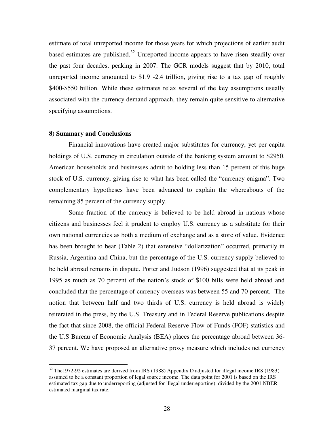estimate of total unreported income for those years for which projections of earlier audit based estimates are published.<sup>32</sup> Unreported income appears to have risen steadily over the past four decades, peaking in 2007. The GCR models suggest that by 2010, total unreported income amounted to \$1.9 -2.4 trillion, giving rise to a tax gap of roughly \$400-\$550 billion. While these estimates relax several of the key assumptions usually associated with the currency demand approach, they remain quite sensitive to alternative specifying assumptions.

#### **8) Summary and Conclusions**

 $\overline{a}$ 

Financial innovations have created major substitutes for currency, yet per capita holdings of U.S. currency in circulation outside of the banking system amount to \$2950. American households and businesses admit to holding less than 15 percent of this huge stock of U.S. currency, giving rise to what has been called the "currency enigma". Two complementary hypotheses have been advanced to explain the whereabouts of the remaining 85 percent of the currency supply.

 Some fraction of the currency is believed to be held abroad in nations whose citizens and businesses feel it prudent to employ U.S. currency as a substitute for their own national currencies as both a medium of exchange and as a store of value. Evidence has been brought to bear (Table 2) that extensive "dollarization" occurred, primarily in Russia, Argentina and China, but the percentage of the U.S. currency supply believed to be held abroad remains in dispute. Porter and Judson (1996) suggested that at its peak in 1995 as much as 70 percent of the nation"s stock of \$100 bills were held abroad and concluded that the percentage of currency overseas was between 55 and 70 percent. The notion that between half and two thirds of U.S. currency is held abroad is widely reiterated in the press, by the U.S. Treasury and in Federal Reserve publications despite the fact that since 2008, the official Federal Reserve Flow of Funds (FOF) statistics and the U.S Bureau of Economic Analysis (BEA) places the percentage abroad between 36- 37 percent. We have proposed an alternative proxy measure which includes net currency

 $32$  The1972-92 estimates are derived from IRS (1988) Appendix D adjusted for illegal income IRS (1983) assumed to be a constant proportion of legal source income. The data point for 2001 is based on the IRS estimated tax gap due to underreporting (adjusted for illegal underreporting), divided by the 2001 NBER estimated marginal tax rate.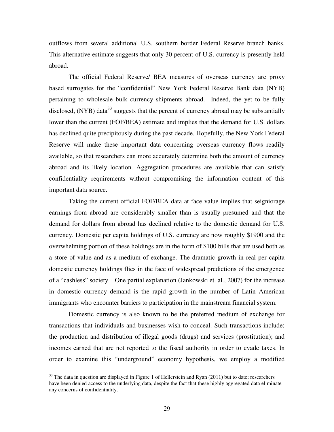outflows from several additional U.S. southern border Federal Reserve branch banks. This alternative estimate suggests that only 30 percent of U.S. currency is presently held abroad.

The official Federal Reserve/ BEA measures of overseas currency are proxy based surrogates for the "confidential" New York Federal Reserve Bank data (NYB) pertaining to wholesale bulk currency shipments abroad. Indeed, the yet to be fully disclosed,  $(NYB)$  data<sup>33</sup> suggests that the percent of currency abroad may be substantially lower than the current (FOF/BEA) estimate and implies that the demand for U.S. dollars has declined quite precipitously during the past decade. Hopefully, the New York Federal Reserve will make these important data concerning overseas currency flows readily available, so that researchers can more accurately determine both the amount of currency abroad and its likely location. Aggregation procedures are available that can satisfy confidentiality requirements without compromising the information content of this important data source.

Taking the current official FOF/BEA data at face value implies that seigniorage earnings from abroad are considerably smaller than is usually presumed and that the demand for dollars from abroad has declined relative to the domestic demand for U.S. currency. Domestic per capita holdings of U.S. currency are now roughly \$1900 and the overwhelming portion of these holdings are in the form of \$100 bills that are used both as a store of value and as a medium of exchange. The dramatic growth in real per capita domestic currency holdings flies in the face of widespread predictions of the emergence of a "cashless" society. One partial explanation (Jankowski et. al., 2007) for the increase in domestic currency demand is the rapid growth in the number of Latin American immigrants who encounter barriers to participation in the mainstream financial system.

Domestic currency is also known to be the preferred medium of exchange for transactions that individuals and businesses wish to conceal. Such transactions include: the production and distribution of illegal goods (drugs) and services (prostitution); and incomes earned that are not reported to the fiscal authority in order to evade taxes. In order to examine this "underground" economy hypothesis, we employ a modified

 $33$  The data in question are displayed in Figure 1 of Hellerstein and Ryan (2011) but to date; researchers have been denied access to the underlying data, despite the fact that these highly aggregated data eliminate any concerns of confidentiality.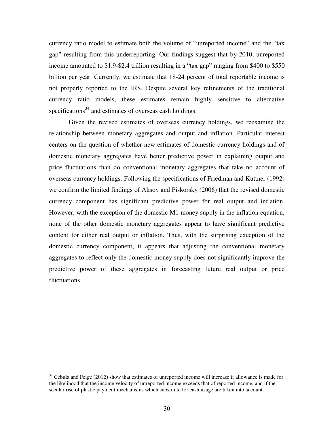currency ratio model to estimate both the volume of "unreported income" and the "tax gap" resulting from this underreporting. Our findings suggest that by 2010, unreported income amounted to \$1.9-\$2.4 trillion resulting in a "tax gap" ranging from \$400 to \$550 billion per year. Currently, we estimate that 18-24 percent of total reportable income is not properly reported to the IRS. Despite several key refinements of the traditional currency ratio models, these estimates remain highly sensitive to alternative specifications<sup>34</sup> and estimates of overseas cash holdings.

 Given the revised estimates of overseas currency holdings, we reexamine the relationship between monetary aggregates and output and inflation. Particular interest centers on the question of whether new estimates of domestic currency holdings and of domestic monetary aggregates have better predictive power in explaining output and price fluctuations than do conventional monetary aggregates that take no account of overseas currency holdings. Following the specifications of Friedman and Kuttner (1992) we confirm the limited findings of Aksoy and Piskorsky (2006) that the revised domestic currency component has significant predictive power for real output and inflation. However, with the exception of the domestic M1 money supply in the inflation equation, none of the other domestic monetary aggregates appear to have significant predictive content for either real output or inflation. Thus, with the surprising exception of the domestic currency component, it appears that adjusting the conventional monetary aggregates to reflect only the domestic money supply does not significantly improve the predictive power of these aggregates in forecasting future real output or price fluctuations.

 $34$  Cebula and Feige (2012) show that estimates of unreported income will increase if allowance is made for the likelihood that the income velocity of unreported income exceeds that of reported income, and if the secular rise of plastic payment mechanisms which substitute for cash usage are taken into account.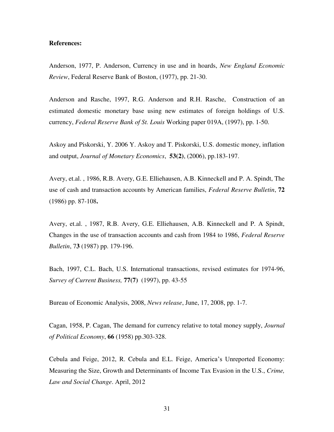#### **References:**

Anderson, 1977, P. Anderson, Currency in use and in hoards, *New England Economic Review*, Federal Reserve Bank of Boston, (1977), pp. 21-30.

Anderson and Rasche, 1997, R.G. Anderson and R.H. Rasche, Construction of an estimated domestic monetary base using new estimates of foreign holdings of U.S. currency, *Federal Reserve Bank of St. Louis* Working paper 019A, (1997), pp. 1-50.

Askoy and Piskorski, Y. 2006 Y. Askoy and T. Piskorski, U.S. domestic money, inflation and output, *Journal of Monetary Economics*, **53(2)**, (2006), pp.183-197.

Avery, et.al. , 1986, R.B. Avery, G.E. Elliehausen, A.B. Kinneckell and P. A. Spindt, The use of cash and transaction accounts by American families, *Federal Reserve Bulletin*, **72**  (1986) pp. 87-108**.** 

Avery, et.al. , 1987, R.B. Avery, G.E. Elliehausen, A.B. Kinneckell and P. A Spindt, Changes in the use of transaction accounts and cash from 1984 to 1986, *Federal Reserve Bulletin*, 7**3** (1987) pp. 179-196.

Bach, 1997, C.L. Bach, U.S. International transactions, revised estimates for 1974-96, *Survey of Current Business,* **77(7)** (1997), pp. 43-55

Bureau of Economic Analysis, 2008, *News release*, June, 17, 2008, pp. 1-7.

Cagan, 1958, P. Cagan, The demand for currency relative to total money supply, *Journal of Political Economy*, **66** (1958) pp.303-328.

Cebula and Feige, 2012, R. Cebula and E.L. Feige, America"s Unreported Economy: Measuring the Size, Growth and Determinants of Income Tax Evasion in the U.S., *Crime, Law and Social Change*. April, 2012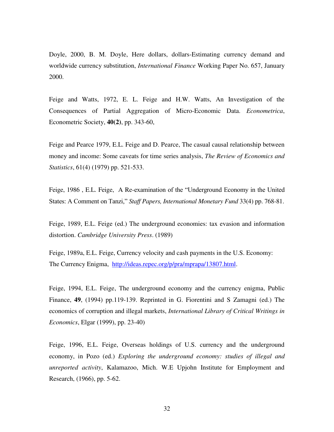Doyle, 2000, B. M. Doyle, Here dollars, dollars-Estimating currency demand and worldwide currency substitution, *International Finance* Working Paper No. 657, January 2000.

Feige and Watts, 1972, E. L. Feige and H.W. Watts, An Investigation of the Consequences of Partial Aggregation of Micro-Economic Data. *Econometrica*, Econometric Society, **40(2)**, pp. 343-60,

Feige and Pearce 1979, E.L. Feige and D. Pearce, The casual causal relationship between money and income: Some caveats for time series analysis, *The Review of Economics and Statistics*, 61(4) (1979) pp. 521-533.

Feige, 1986 , E.L. Feige, A Re-examination of the "Underground Economy in the United States: A Comment on Tanzi," *Staff Papers, International Monetary Fund* 33(4) pp. 768-81.

Feige, 1989, E.L. Feige (ed.) The underground economies: tax evasion and information distortion. *Cambridge University Press*. (1989)

Feige, 1989a, E.L. Feige, Currency velocity and cash payments in the U.S. Economy: The Currency Enigma, [http://ideas.repec.org/p/pra/mprapa/13807.html.](http://ideas.repec.org/p/pra/mprapa/13807.html)

Feige, 1994, E.L. Feige, The underground economy and the currency enigma, Public Finance, **49**, (1994) pp.119-139. Reprinted in G. Fiorentini and S Zamagni (ed.) The economics of corruption and illegal markets, *International Library of Critical Writings in Economics*, Elgar (1999), pp. 23-40)

Feige, 1996, E.L. Feige, Overseas holdings of U.S. currency and the underground economy, in Pozo (ed.) *Exploring the underground economy: studies of illegal and unreported activity*, Kalamazoo, Mich. W.E Upjohn Institute for Employment and Research, (1966), pp. 5-62.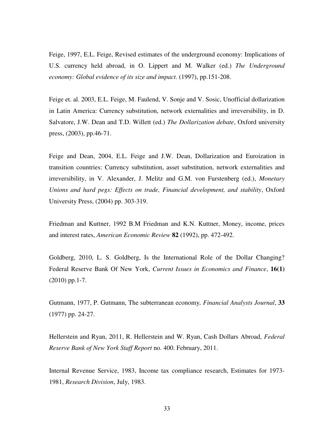Feige, 1997, E.L. Feige, Revised estimates of the underground economy: Implications of U.S. currency held abroad, in O. Lippert and M. Walker (ed.) *The Underground economy: Global evidence of its size and impact.* (1997), pp.151-208.

Feige et. al. 2003, E.L. Feige, M. Faulend, V. Sonje and V. Sosic, Unofficial dollarization in Latin America: Currency substitution, network externalities and irreversibility, in D. Salvatore, J.W. Dean and T.D. Willett (ed.) *The Dollarization debate*, Oxford university press, (2003), pp.46-71.

Feige and Dean, 2004, E.L. Feige and J.W. Dean, Dollarization and Euroization in transition countries: Currency substitution, asset substitution, network externalities and irreversibility, in V. Alexander, J. Melitz and G.M. von Furstenberg (ed.), *Monetary Unions and hard pegs: Effects on trade, Financial development, and stability*, Oxford University Press, (2004) pp. 303-319.

Friedman and Kuttner, 1992 B.M Friedman and K.N. Kuttner, Money, income, prices and interest rates, *American Economic Review* **82** (1992), pp. 472-492.

Goldberg, 2010, L. S. Goldberg, Is the International Role of the Dollar Changing? Federal Reserve Bank Of New York, *Current Issues in Economics and Finance*, **16(1)**  (2010) pp.1-7.

Gutmann, 1977, P. Gutmann, The subterranean economy*, Financial Analysts Journal*, **33** (1977) pp. 24-27.

Hellerstein and Ryan, 2011, R. Hellerstein and W. Ryan, Cash Dollars Abroad, *Federal Reserve Bank of New York Staff Report* no. 400. February, 2011.

Internal Revenue Service, 1983, Income tax compliance research, Estimates for 1973- 1981, *Research Division*, July, 1983.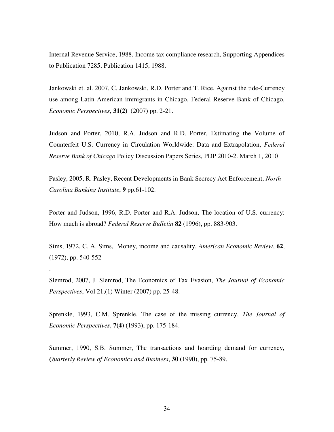Internal Revenue Service, 1988, Income tax compliance research, Supporting Appendices to Publication 7285, Publication 1415, 1988.

Jankowski et. al. 2007, C. Jankowski, R.D. Porter and T. Rice, Against the tide-Currency use among Latin American immigrants in Chicago, Federal Reserve Bank of Chicago, *Economic Perspectives*, **31(2)** (2007) pp. 2-21.

Judson and Porter, 2010, R.A. Judson and R.D. Porter, Estimating the Volume of Counterfeit U.S. Currency in Circulation Worldwide: Data and Extrapolation, *Federal Reserve Bank of Chicago* Policy Discussion Papers Series, PDP 2010-2. March 1, 2010

Pasley, 2005, R. Pasley, Recent Developments in Bank Secrecy Act Enforcement, *North Carolina Banking Institute*, **9** pp.61-102.

Porter and Judson, 1996, R.D. Porter and R.A. Judson, The location of U.S. currency: How much is abroad? *Federal Reserve Bulletin* **82** (1996), pp. 883-903.

Sims, 1972, C. A. Sims, Money, income and causality, *American Economic Review*, **62**, (1972), pp. 540-552

Slemrod, 2007, J. Slemrod, The Economics of Tax Evasion, *The Journal of Economic Perspectives*, Vol 21,(1) Winter (2007) pp. 25-48.

.

Sprenkle, 1993, C.M. Sprenkle, The case of the missing currency, *The Journal of Economic Perspectives*, **7(4)** (1993), pp. 175-184.

Summer, 1990, S.B. Summer, The transactions and hoarding demand for currency, *Quarterly Review of Economics and Business*, **30 (**1990), pp. 75-89.